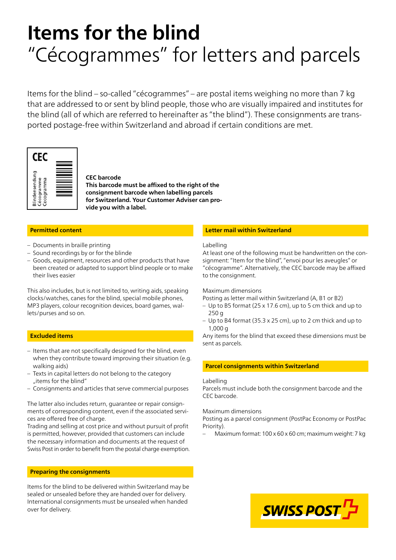# **Items for the blind** "Cécogrammes" for letters and parcels

Items for the blind – so-called "cécogrammes" – are postal items weighing no more than 7 kg that are addressed to or sent by blind people, those who are visually impaired and institutes for the blind (all of which are referred to hereinafter as "the blind"). These consignments are transported postage-free within Switzerland and abroad if certain conditions are met.



#### **CEC barcode**

**This barcode must be affixed to the right of the consignment barcode when labelling parcels for Switzerland. Your Customer Adviser can provide you with a label.**

# **Permitted content**

- Documents in braille printing
- Sound recordings by or for the blinde
- Goods, equipment, resources and other products that have been created or adapted to support blind people or to make their lives easier

This also includes, but is not limited to, writing aids, speaking clocks/watches, canes for the blind, special mobile phones, MP3 players, colour recognition devices, board games, wallets/purses and so on.

# **Excluded items**

- Items that are not specifically designed for the blind, even when they contribute toward improving their situation (e.g. walking aids)
- Texts in capital letters do not belong to the category "items for the blind"
- Consignments and articles that serve commercial purposes

The latter also includes return, guarantee or repair consignments of corresponding content, even if the associated services are offered free of charge.

Trading and selling at cost price and without pursuit of profit is permitted, however, provided that customers can include the necessary information and documents at the request of Swiss Post in order to benefit from the postal charge exemption.

# **Preparing the consignments**

Items for the blind to be delivered within Switzerland may be sealed or unsealed before they are handed over for delivery. International consignments must be unsealed when handed over for delivery.

# **Letter mail within Switzerland**

#### Labelling

At least one of the following must be handwritten on the consignment: "Item for the blind", "envoi pour les aveugles" or "cécogramme". Alternatively, the CEC barcode may be affixed to the consignment.

#### Maximum dimensions

Posting as letter mail within Switzerland (A, B1 or B2)

- Up to B5 format (25 x 17.6 cm), up to 5 cm thick and up to 250 g
- Up to B4 format (35.3 x 25 cm), up to 2 cm thick and up to 1,000 g

Any items for the blind that exceed these dimensions must be sent as parcels.

# **Parcel consignments within Switzerland**

#### Labelling

Parcels must include both the consignment barcode and the CEC barcode.

Maximum dimensions

Posting as a parcel consignment (PostPac Economy or PostPac Priority).

– Maximum format: 100 x 60 x 60 cm; maximum weight: 7 kg